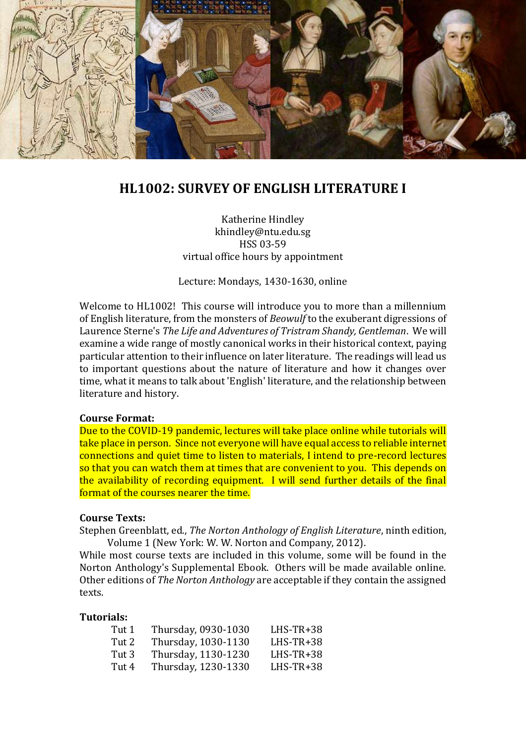

# **HL1002: SURVEY OF ENGLISH LITERATURE I**

Katherine Hindley khindley@ntu.edu.sg HSS 03-59 virtual office hours by appointment

Lecture: Mondays, 1430-1630, online

Welcome to HL1002! This course will introduce you to more than a millennium of English literature, from the monsters of *Beowulf* to the exuberant digressions of Laurence Sterne's *The Life and Adventures of Tristram Shandy, Gentleman*. We will examine a wide range of mostly canonical works in their historical context, paying particular attention to their influence on later literature. The readings will lead us to important questions about the nature of literature and how it changes over time, what it means to talk about 'English' literature, and the relationship between literature and history.

#### **Course Format:**

Due to the COVID-19 pandemic, lectures will take place online while tutorials will take place in person. Since not everyone will have equal access to reliable internet connections and quiet time to listen to materials, I intend to pre-record lectures so that you can watch them at times that are convenient to you. This depends on the availability of recording equipment. I will send further details of the final format of the courses nearer the time.

#### **Course Texts:**

Stephen Greenblatt, ed., *The Norton Anthology of English Literature*, ninth edition, Volume 1 (New York: W. W. Norton and Company, 2012).

While most course texts are included in this volume, some will be found in the Norton Anthology's Supplemental Ebook. Others will be made available online. Other editions of *The Norton Anthology* are acceptable if they contain the assigned texts.

#### **Tutorials:**

| Tut 1 | Thursday, 0930-1030 | $L$ HS-TR+38 |
|-------|---------------------|--------------|
| Tut 2 | Thursday, 1030-1130 | $L$ HS-TR+38 |
| Tut 3 | Thursday, 1130-1230 | $L$ HS-TR+38 |
| Tut 4 | Thursday, 1230-1330 | $L$ HS-TR+38 |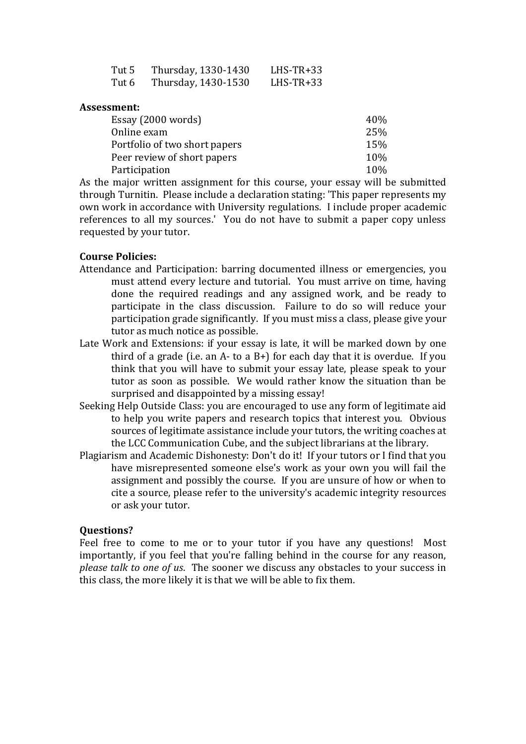| Tut 5 | Thursday, 1330-1430 | LHS-TR+33    |
|-------|---------------------|--------------|
| Tut 6 | Thursday, 1430-1530 | $L$ HS-TR+33 |

#### **Assessment:**

| Essay (2000 words)            | 40% |
|-------------------------------|-----|
| Online exam                   | 25% |
| Portfolio of two short papers | 15% |
| Peer review of short papers   | 10% |
| Participation                 | 10% |

As the major written assignment for this course, your essay will be submitted through Turnitin. Please include a declaration stating: 'This paper represents my own work in accordance with University regulations. I include proper academic references to all my sources.' You do not have to submit a paper copy unless requested by your tutor.

### **Course Policies:**

- Attendance and Participation: barring documented illness or emergencies, you must attend every lecture and tutorial. You must arrive on time, having done the required readings and any assigned work, and be ready to participate in the class discussion. Failure to do so will reduce your participation grade significantly. If you must miss a class, please give your tutor as much notice as possible.
- Late Work and Extensions: if your essay is late, it will be marked down by one third of a grade (i.e. an A- to a B+) for each day that it is overdue. If you think that you will have to submit your essay late, please speak to your tutor as soon as possible. We would rather know the situation than be surprised and disappointed by a missing essay!
- Seeking Help Outside Class: you are encouraged to use any form of legitimate aid to help you write papers and research topics that interest you. Obvious sources of legitimate assistance include your tutors, the writing coaches at the LCC Communication Cube, and the subject librarians at the library.
- Plagiarism and Academic Dishonesty: Don't do it! If your tutors or I find that you have misrepresented someone else's work as your own you will fail the assignment and possibly the course. If you are unsure of how or when to cite a source, please refer to the university's academic integrity resources or ask your tutor.

#### **Questions?**

Feel free to come to me or to your tutor if you have any questions! Most importantly, if you feel that you're falling behind in the course for any reason, *please talk to one of us*. The sooner we discuss any obstacles to your success in this class, the more likely it is that we will be able to fix them.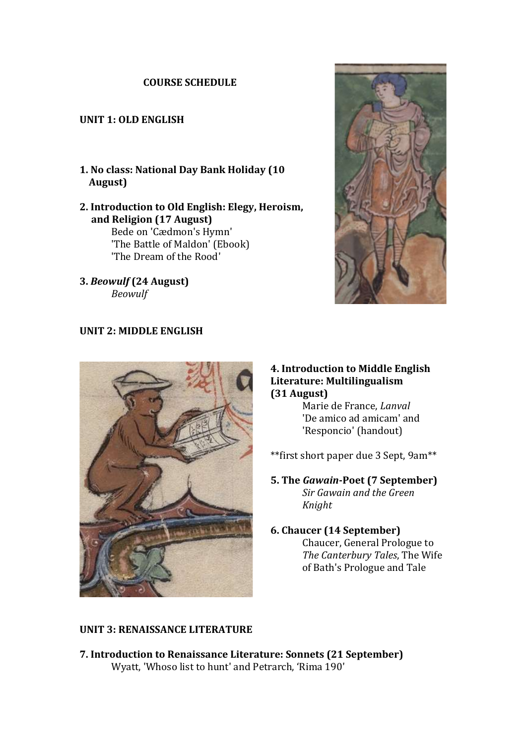## **COURSE SCHEDULE**

## **UNIT 1: OLD ENGLISH**

- **1. No class: National Day Bank Holiday (10 August)**
- **2. Introduction to Old English: Elegy, Heroism, and Religion (17 August)** Bede on 'Cædmon's Hymn' 'The Battle of Maldon' (Ebook) 'The Dream of the Rood'
- **3.** *Beowulf* **(24 August)** *Beowulf*



### **UNIT 2: MIDDLE ENGLISH**



#### **4. Introduction to Middle English Literature: Multilingualism (31 August)**

Marie de France, *Lanval* 'De amico ad amicam' and 'Responcio' (handout)

\*\*first short paper due 3 Sept, 9am\*\*

#### **5. The** *Gawain***-Poet (7 September)** *Sir Gawain and the Green Knight*

#### **6. Chaucer (14 September)** Chaucer, General Prologue to *The Canterbury Tales*, The Wife of Bath's Prologue and Tale

## **UNIT 3: RENAISSANCE LITERATURE**

**7. Introduction to Renaissance Literature: Sonnets (21 September)** Wyatt, 'Whoso list to hunt' and Petrarch, 'Rima 190'